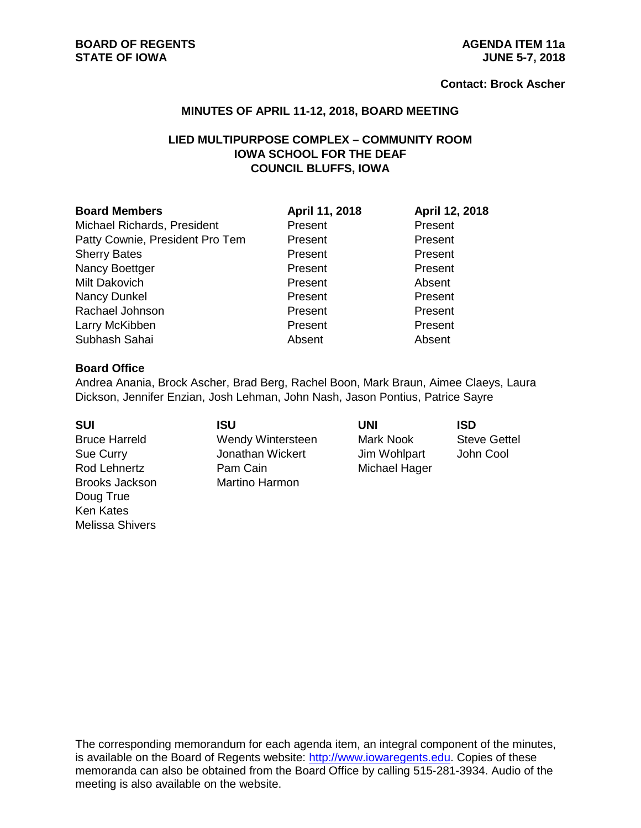#### **Contact: Brock Ascher**

#### **MINUTES OF APRIL 11-12, 2018, BOARD MEETING**

# **LIED MULTIPURPOSE COMPLEX – COMMUNITY ROOM IOWA SCHOOL FOR THE DEAF COUNCIL BLUFFS, IOWA**

| <b>Board Members</b>            | April 11, 2018 | April 12, 2018 |
|---------------------------------|----------------|----------------|
| Michael Richards, President     | Present        | Present        |
| Patty Cownie, President Pro Tem | Present        | Present        |
| <b>Sherry Bates</b>             | Present        | Present        |
| Nancy Boettger                  | Present        | Present        |
| Milt Dakovich                   | Present        | Absent         |
| Nancy Dunkel                    | Present        | Present        |
| Rachael Johnson                 | Present        | Present        |
| Larry McKibben                  | Present        | Present        |
| Subhash Sahai                   | Absent         | Absent         |

#### **Board Office**

Andrea Anania, Brock Ascher, Brad Berg, Rachel Boon, Mark Braun, Aimee Claeys, Laura Dickson, Jennifer Enzian, Josh Lehman, John Nash, Jason Pontius, Patrice Sayre

| <b>SUI</b>            | ISU                   | UNI           | ISD                 |
|-----------------------|-----------------------|---------------|---------------------|
| <b>Bruce Harreld</b>  | Wendy Wintersteen     | Mark Nook     | <b>Steve Gettel</b> |
| Sue Curry             | Jonathan Wickert      | Jim Wohlpart  | John Cool           |
| Rod Lehnertz          | Pam Cain              | Michael Hager |                     |
| <b>Brooks Jackson</b> | <b>Martino Harmon</b> |               |                     |
| Doug True             |                       |               |                     |
| <b>Ken Kates</b>      |                       |               |                     |
| Melissa Shivers       |                       |               |                     |

The corresponding memorandum for each agenda item, an integral component of the minutes, is available on the Board of Regents website: [http://www.iowaregents.edu.](http://www.iowaregents.edu/) Copies of these memoranda can also be obtained from the Board Office by calling 515-281-3934. Audio of the meeting is also available on the website.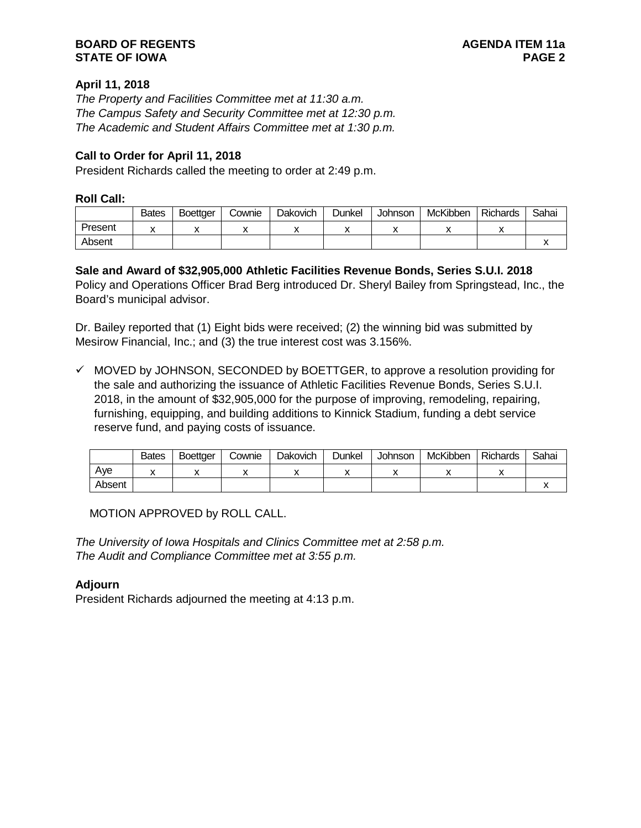# **April 11, 2018**

*The Property and Facilities Committee met at 11:30 a.m. The Campus Safety and Security Committee met at 12:30 p.m. The Academic and Student Affairs Committee met at 1:30 p.m.*

# **Call to Order for April 11, 2018**

President Richards called the meeting to order at 2:49 p.m.

### **Roll Call:**

|         | <b>Bates</b> | <b>Boettger</b> | Cownie | <b>Dakovich</b> | Dunkel | <b>Johnson</b> | McKibben | <b>Richards</b> | Sahai |
|---------|--------------|-----------------|--------|-----------------|--------|----------------|----------|-----------------|-------|
| Present |              |                 |        |                 |        |                |          |                 |       |
| Absent  |              |                 |        |                 |        |                |          |                 |       |

# **Sale and Award of \$32,905,000 Athletic Facilities Revenue Bonds, Series S.U.I. 2018**

Policy and Operations Officer Brad Berg introduced Dr. Sheryl Bailey from Springstead, Inc., the Board's municipal advisor.

Dr. Bailey reported that (1) Eight bids were received; (2) the winning bid was submitted by Mesirow Financial, Inc.; and (3) the true interest cost was 3.156%.

 $\checkmark$  MOVED by JOHNSON, SECONDED by BOETTGER, to approve a resolution providing for the sale and authorizing the issuance of Athletic Facilities Revenue Bonds, Series S.U.I. 2018, in the amount of \$32,905,000 for the purpose of improving, remodeling, repairing, furnishing, equipping, and building additions to Kinnick Stadium, funding a debt service reserve fund, and paying costs of issuance.

|        | <b>Bates</b> | <b>Boettger</b> | Cownie | Dakovich | Dunkel | Johnson | McKibben | <b>Richards</b> | Sahai |
|--------|--------------|-----------------|--------|----------|--------|---------|----------|-----------------|-------|
| Ave    |              |                 |        |          |        |         |          |                 |       |
| Absent |              |                 |        |          |        |         |          |                 |       |

MOTION APPROVED by ROLL CALL.

*The University of Iowa Hospitals and Clinics Committee met at 2:58 p.m. The Audit and Compliance Committee met at 3:55 p.m.*

# **Adjourn**

President Richards adjourned the meeting at 4:13 p.m.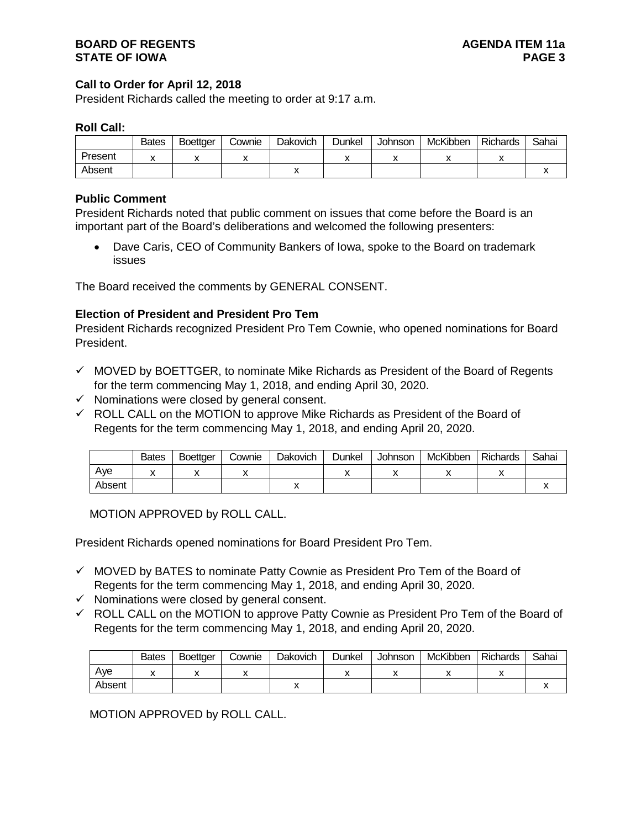### **Call to Order for April 12, 2018**

President Richards called the meeting to order at 9:17 a.m.

#### **Roll Call:**

|         | <b>Bates</b> | <b>Boettger</b> | ش∨ownie | Dakovich | <b>Dunkel</b> | Johnson | McKibben | Richards | Sahai |
|---------|--------------|-----------------|---------|----------|---------------|---------|----------|----------|-------|
| Present |              |                 |         |          |               |         |          |          |       |
| Absent  |              |                 |         | ,,       |               |         |          |          |       |

### **Public Comment**

President Richards noted that public comment on issues that come before the Board is an important part of the Board's deliberations and welcomed the following presenters:

• Dave Caris, CEO of Community Bankers of Iowa, spoke to the Board on trademark issues

The Board received the comments by GENERAL CONSENT.

### **Election of President and President Pro Tem**

President Richards recognized President Pro Tem Cownie, who opened nominations for Board President.

- $\checkmark$  MOVED by BOETTGER, to nominate Mike Richards as President of the Board of Regents for the term commencing May 1, 2018, and ending April 30, 2020.
- $\checkmark$  Nominations were closed by general consent.
- $\checkmark$  ROLL CALL on the MOTION to approve Mike Richards as President of the Board of Regents for the term commencing May 1, 2018, and ending April 20, 2020.

|        | <b>Bates</b> | <b>Boettger</b> | Cownie | Dakovich | Dunkel | Johnson | McKibben | <b>Richards</b> | Sahai |
|--------|--------------|-----------------|--------|----------|--------|---------|----------|-----------------|-------|
| Ave    |              |                 |        |          |        |         | ,,       |                 |       |
| Absent |              |                 |        |          |        |         |          |                 |       |

MOTION APPROVED by ROLL CALL.

President Richards opened nominations for Board President Pro Tem.

- $\checkmark$  MOVED by BATES to nominate Patty Cownie as President Pro Tem of the Board of Regents for the term commencing May 1, 2018, and ending April 30, 2020.
- $\checkmark$  Nominations were closed by general consent.
- $\checkmark$  ROLL CALL on the MOTION to approve Patty Cownie as President Pro Tem of the Board of Regents for the term commencing May 1, 2018, and ending April 20, 2020.

|        | <b>Bates</b> | Boettaer | Cownie | Dakovich | Dunkel | <b>Johnson</b> | McKibben | Richards | Sahai |
|--------|--------------|----------|--------|----------|--------|----------------|----------|----------|-------|
| Ave    |              |          |        |          |        |                |          |          |       |
| Absent |              |          |        |          |        |                |          |          |       |

MOTION APPROVED by ROLL CALL.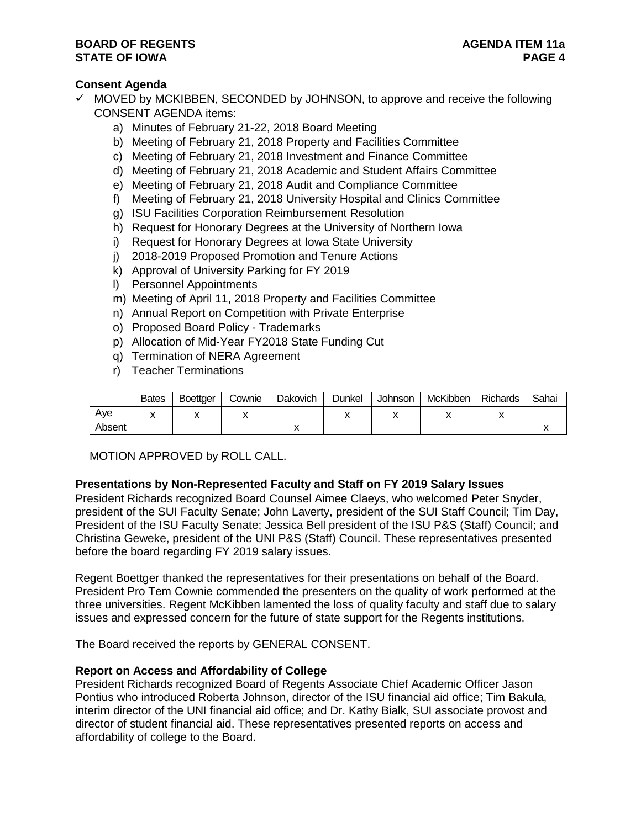### **Consent Agenda**

- $\checkmark$  MOVED by MCKIBBEN, SECONDED by JOHNSON, to approve and receive the following CONSENT AGENDA items:
	- a) Minutes of February 21-22, 2018 Board Meeting
	- b) Meeting of February 21, 2018 Property and Facilities Committee
	- c) Meeting of February 21, 2018 Investment and Finance Committee
	- d) Meeting of February 21, 2018 Academic and Student Affairs Committee
	- e) Meeting of February 21, 2018 Audit and Compliance Committee
	- f) Meeting of February 21, 2018 University Hospital and Clinics Committee
	- g) ISU Facilities Corporation Reimbursement Resolution
	- h) Request for Honorary Degrees at the University of Northern Iowa
	- i) Request for Honorary Degrees at Iowa State University
	- j) 2018-2019 Proposed Promotion and Tenure Actions
	- k) Approval of University Parking for FY 2019
	- l) Personnel Appointments
	- m) Meeting of April 11, 2018 Property and Facilities Committee
	- n) Annual Report on Competition with Private Enterprise
	- o) Proposed Board Policy Trademarks
	- p) Allocation of Mid-Year FY2018 State Funding Cut
	- q) Termination of NERA Agreement
	- r) Teacher Terminations

|        | <b>Bates</b> | <b>Boettaer</b> | Cownie | Dakovich | Dunkel | <b>Johnson</b> | McKibben | Richards | Sahai |
|--------|--------------|-----------------|--------|----------|--------|----------------|----------|----------|-------|
| Ave    |              |                 |        |          |        |                | ,,       |          |       |
| Absent |              |                 |        |          |        |                |          |          |       |

MOTION APPROVED by ROLL CALL.

### **Presentations by Non-Represented Faculty and Staff on FY 2019 Salary Issues**

President Richards recognized Board Counsel Aimee Claeys, who welcomed Peter Snyder, president of the SUI Faculty Senate; John Laverty, president of the SUI Staff Council; Tim Day, President of the ISU Faculty Senate; Jessica Bell president of the ISU P&S (Staff) Council; and Christina Geweke, president of the UNI P&S (Staff) Council. These representatives presented before the board regarding FY 2019 salary issues.

Regent Boettger thanked the representatives for their presentations on behalf of the Board. President Pro Tem Cownie commended the presenters on the quality of work performed at the three universities. Regent McKibben lamented the loss of quality faculty and staff due to salary issues and expressed concern for the future of state support for the Regents institutions.

The Board received the reports by GENERAL CONSENT.

### **Report on Access and Affordability of College**

President Richards recognized Board of Regents Associate Chief Academic Officer Jason Pontius who introduced Roberta Johnson, director of the ISU financial aid office; Tim Bakula, interim director of the UNI financial aid office; and Dr. Kathy Bialk, SUI associate provost and director of student financial aid. These representatives presented reports on access and affordability of college to the Board.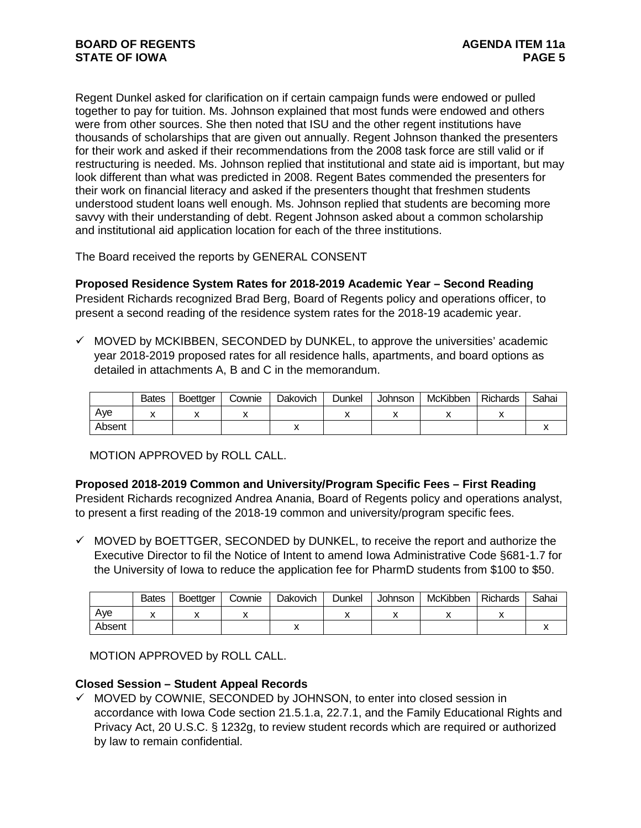Regent Dunkel asked for clarification on if certain campaign funds were endowed or pulled together to pay for tuition. Ms. Johnson explained that most funds were endowed and others were from other sources. She then noted that ISU and the other regent institutions have thousands of scholarships that are given out annually. Regent Johnson thanked the presenters for their work and asked if their recommendations from the 2008 task force are still valid or if restructuring is needed. Ms. Johnson replied that institutional and state aid is important, but may look different than what was predicted in 2008. Regent Bates commended the presenters for their work on financial literacy and asked if the presenters thought that freshmen students understood student loans well enough. Ms. Johnson replied that students are becoming more savvy with their understanding of debt. Regent Johnson asked about a common scholarship and institutional aid application location for each of the three institutions.

The Board received the reports by GENERAL CONSENT

**Proposed Residence System Rates for 2018-2019 Academic Year – Second Reading** President Richards recognized Brad Berg, Board of Regents policy and operations officer, to present a second reading of the residence system rates for the 2018-19 academic year.

 $\checkmark$  MOVED by MCKIBBEN, SECONDED by DUNKEL, to approve the universities' academic year 2018-2019 proposed rates for all residence halls, apartments, and board options as detailed in attachments A, B and C in the memorandum.

|        | <b>Bates</b> | <b>Boettger</b> | Cownie | Dakovich | Dunkel | Johnson | McKibben | <b>Richards</b> | Sahai |
|--------|--------------|-----------------|--------|----------|--------|---------|----------|-----------------|-------|
| Ave    |              |                 |        |          |        |         | ,,       |                 |       |
| Absent |              |                 |        |          |        |         |          |                 |       |

MOTION APPROVED by ROLL CALL.

**Proposed 2018-2019 Common and University/Program Specific Fees – First Reading** President Richards recognized Andrea Anania, Board of Regents policy and operations analyst, to present a first reading of the 2018-19 common and university/program specific fees.

 $\checkmark$  MOVED by BOETTGER, SECONDED by DUNKEL, to receive the report and authorize the Executive Director to fil the Notice of Intent to amend Iowa Administrative Code §681-1.7 for the University of Iowa to reduce the application fee for PharmD students from \$100 to \$50.

|        | <b>Bates</b> | <b>Boettger</b> | Cownie | Dakovich | Dunkel | Johnson | McKibben | Richards | Sahai |
|--------|--------------|-----------------|--------|----------|--------|---------|----------|----------|-------|
| Ave    |              |                 |        |          |        |         |          |          |       |
| Absent |              |                 |        |          |        |         |          |          |       |

MOTION APPROVED by ROLL CALL.

# **Closed Session – Student Appeal Records**

 $\checkmark$  MOVED by COWNIE, SECONDED by JOHNSON, to enter into closed session in accordance with Iowa Code section 21.5.1.a, 22.7.1, and the Family Educational Rights and Privacy Act, 20 U.S.C. § 1232g, to review student records which are required or authorized by law to remain confidential.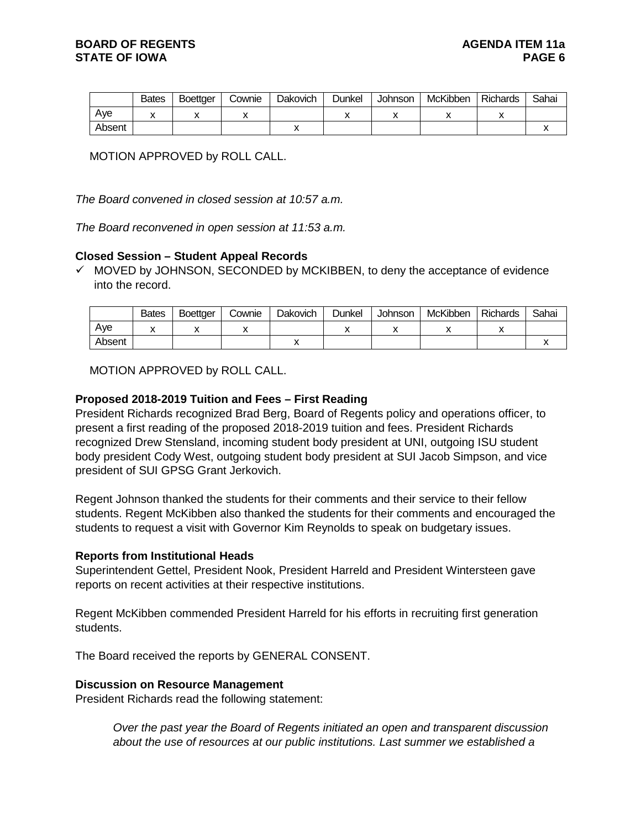|        | <b>Bates</b> | <b>Boettger</b> | Cownie | Dakovich | <b>Dunkel</b> | Johnson | McKibben | <b>Richards</b> | Sahai |
|--------|--------------|-----------------|--------|----------|---------------|---------|----------|-----------------|-------|
| Ave    |              |                 |        |          |               |         |          |                 |       |
| Absent |              |                 |        |          |               |         |          |                 |       |

MOTION APPROVED by ROLL CALL.

*The Board convened in closed session at 10:57 a.m.*

*The Board reconvened in open session at 11:53 a.m.*

### **Closed Session – Student Appeal Records**

 $\checkmark$  MOVED by JOHNSON, SECONDED by MCKIBBEN, to deny the acceptance of evidence into the record.

|        | <b>Bates</b> | <b>Boettger</b> | Cownie | Dakovich | Dunkel | <b>Johnson</b> | McKibben | Richards | Sahai |
|--------|--------------|-----------------|--------|----------|--------|----------------|----------|----------|-------|
| Ave    | ↗            |                 |        |          |        |                |          |          |       |
| Absent |              |                 |        |          |        |                |          |          |       |

MOTION APPROVED by ROLL CALL.

### **Proposed 2018-2019 Tuition and Fees – First Reading**

President Richards recognized Brad Berg, Board of Regents policy and operations officer, to present a first reading of the proposed 2018-2019 tuition and fees. President Richards recognized Drew Stensland, incoming student body president at UNI, outgoing ISU student body president Cody West, outgoing student body president at SUI Jacob Simpson, and vice president of SUI GPSG Grant Jerkovich.

Regent Johnson thanked the students for their comments and their service to their fellow students. Regent McKibben also thanked the students for their comments and encouraged the students to request a visit with Governor Kim Reynolds to speak on budgetary issues.

#### **Reports from Institutional Heads**

Superintendent Gettel, President Nook, President Harreld and President Wintersteen gave reports on recent activities at their respective institutions.

Regent McKibben commended President Harreld for his efforts in recruiting first generation students.

The Board received the reports by GENERAL CONSENT.

#### **Discussion on Resource Management**

President Richards read the following statement:

*Over the past year the Board of Regents initiated an open and transparent discussion about the use of resources at our public institutions. Last summer we established a*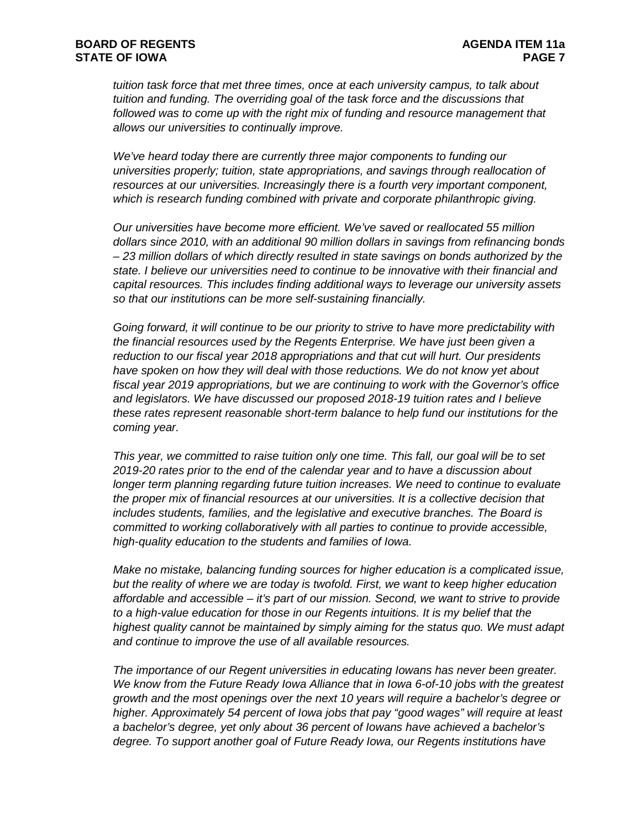*tuition task force that met three times, once at each university campus, to talk about tuition and funding. The overriding goal of the task force and the discussions that*  followed was to come up with the right mix of funding and resource management that *allows our universities to continually improve.* 

*We've heard today there are currently three major components to funding our universities properly; tuition, state appropriations, and savings through reallocation of resources at our universities. Increasingly there is a fourth very important component, which is research funding combined with private and corporate philanthropic giving.* 

*Our universities have become more efficient. We've saved or reallocated 55 million dollars since 2010, with an additional 90 million dollars in savings from refinancing bonds – 23 million dollars of which directly resulted in state savings on bonds authorized by the state. I believe our universities need to continue to be innovative with their financial and capital resources. This includes finding additional ways to leverage our university assets so that our institutions can be more self-sustaining financially.* 

*Going forward, it will continue to be our priority to strive to have more predictability with the financial resources used by the Regents Enterprise. We have just been given a reduction to our fiscal year 2018 appropriations and that cut will hurt. Our presidents*  have spoken on how they will deal with those reductions. We do not know yet about *fiscal year 2019 appropriations, but we are continuing to work with the Governor's office and legislators. We have discussed our proposed 2018-19 tuition rates and I believe these rates represent reasonable short-term balance to help fund our institutions for the coming year.* 

*This year, we committed to raise tuition only one time. This fall, our goal will be to set 2019-20 rates prior to the end of the calendar year and to have a discussion about longer term planning regarding future tuition increases. We need to continue to evaluate the proper mix of financial resources at our universities. It is a collective decision that includes students, families, and the legislative and executive branches. The Board is committed to working collaboratively with all parties to continue to provide accessible, high-quality education to the students and families of Iowa.* 

*Make no mistake, balancing funding sources for higher education is a complicated issue, but the reality of where we are today is twofold. First, we want to keep higher education affordable and accessible – it's part of our mission. Second, we want to strive to provide to a high-value education for those in our Regents intuitions. It is my belief that the highest quality cannot be maintained by simply aiming for the status quo. We must adapt and continue to improve the use of all available resources.* 

*The importance of our Regent universities in educating Iowans has never been greater. We know from the Future Ready Iowa Alliance that in Iowa 6-of-10 jobs with the greatest growth and the most openings over the next 10 years will require a bachelor's degree or higher. Approximately 54 percent of Iowa jobs that pay "good wages" will require at least a bachelor's degree, yet only about 36 percent of Iowans have achieved a bachelor's degree. To support another goal of Future Ready Iowa, our Regents institutions have*